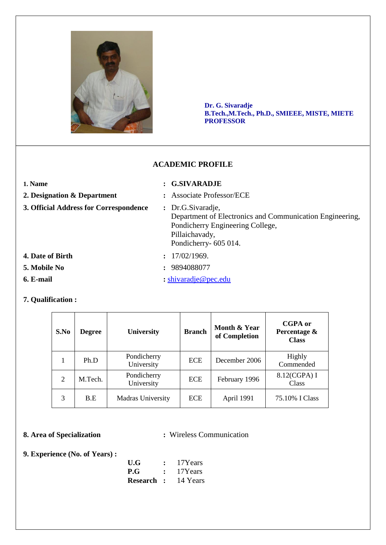

**Dr. G. Sivaradje B.Tech.,M.Tech., Ph.D., SMIEEE, MISTE, MIETE PROFESSOR**

## **ACADEMIC PROFILE**

## **1. Name : G.SIVARADJE**

- **2. Designation & Department :** Associate Professor/ECE
- **3. Official Address for Correspondence :** Dr.G.Sivaradje,
- Department of Electronics and Communication Engineering, Pondicherry Engineering College,

 Pillaichavady, Pondicherry- 605 014.

- **4. Date of Birth : 17/02/1969.**
- **5. Mobile No :** 9894088077
- **6. E-mail :** [shivaradje@pec.edu](mailto:shivaradje@pec.edu)

## **7. Qualification :**

| S.No | <b>Degree</b> | <b>University</b>         | <b>Branch</b> | Month & Year<br>of Completion | CGPA or<br>Percentage &<br><b>Class</b> |
|------|---------------|---------------------------|---------------|-------------------------------|-----------------------------------------|
|      | Ph.D          | Pondicherry<br>University | <b>ECE</b>    | December 2006                 | Highly<br>Commended                     |
| 2    | M.Tech.       | Pondicherry<br>University | <b>ECE</b>    | February 1996                 | 8.12(CGPA) I<br>Class                   |
| 3    | B.E           | Madras University         | <b>ECE</b>    | April 1991                    | 75.10% I Class                          |

# **8. Area of Specialization :**  Wireless Communication

## **9. Experience (No. of Years) :**

| U.G             | : 17Years                  |
|-----------------|----------------------------|
| $P.G$ : 17Years |                            |
|                 | <b>Research :</b> 14 Years |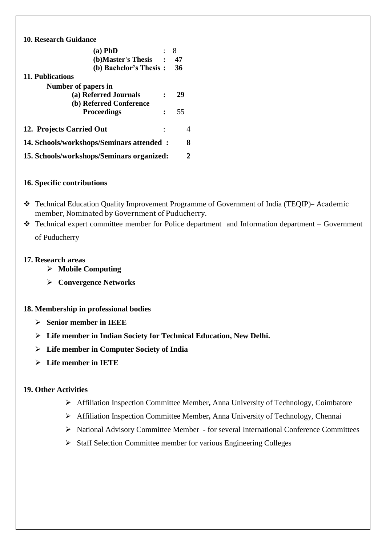# **10. Research Guidance**

| $(a)$ PhD                                 | 8  |
|-------------------------------------------|----|
| (b) Master's Thesis                       | 47 |
| (b) Bachelor's Thesis:                    | 36 |
| 11. Publications                          |    |
| Number of papers in                       |    |
| (a) Referred Journals                     | 29 |
| (b) Referred Conference                   |    |
| <b>Proceedings</b>                        | 55 |
| 12. Projects Carried Out                  | 4  |
| 14. Schools/workshops/Seminars attended:  | 8  |
| 15. Schools/workshops/Seminars organized: | 2  |

## **16. Specific contributions**

- Technical Education Quality Improvement Programme of Government of India (TEQIP)– Academic member, Nominated by Government of Puducherry.
- $\cdot \cdot$  Technical expert committee member for Police department and Information department Government of Puducherry

### **17. Research areas**

- **Mobile Computing**
- **Convergence Networks**

### **18. Membership in professional bodies**

- **Senior member in IEEE**
- **Life member in Indian Society for Technical Education, New Delhi.**
- **Life member in Computer Society of India**
- **Life member in IETE**

### **19. Other Activities**

- Affiliation Inspection Committee Member**,** Anna University of Technology, Coimbatore
- Affiliation Inspection Committee Member**,** Anna University of Technology, Chennai
- National Advisory Committee Member for several International Conference Committees
- > Staff Selection Committee member for various Engineering Colleges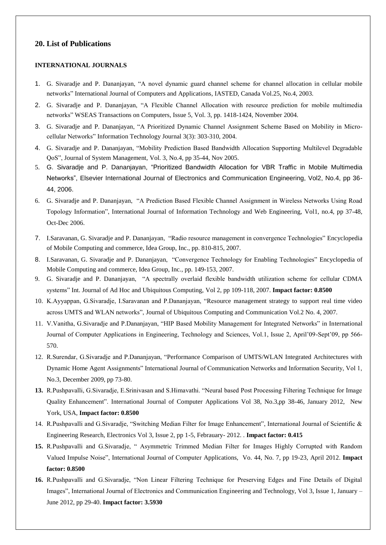#### **20. List of Publications**

#### **INTERNATIONAL JOURNALS**

- 1. G. Sivaradje and P. Dananjayan, "A novel dynamic guard channel scheme for channel allocation in cellular mobile networks" International Journal of Computers and Applications, IASTED, Canada Vol.25, No.4, 2003.
- 2. G. Sivaradje and P. Dananjayan, "A Flexible Channel Allocation with resource prediction for mobile multimedia networks" WSEAS Transactions on Computers, Issue 5, Vol. 3, pp. 1418-1424, November 2004.
- 3. G. Sivaradje and P. Dananjayan, "A Prioritized Dynamic Channel Assignment Scheme Based on Mobility in Microcellular Networks" Information Technology Journal 3(3): 303-310, 2004.
- 4. G. Sivaradje and P. Dananjayan, "Mobility Prediction Based Bandwidth Allocation Supporting Multilevel Degradable QoS", Journal of System Management, Vol. 3, No.4, pp 35-44, Nov 2005.
- 5. G. Sivaradje and P. Dananjayan, "Prioritized Bandwidth Allocation for VBR Traffic in Mobile Multimedia Networks", Elsevier International Journal of Electronics and Communication Engineering, Vol2, No.4, pp 36- 44, 2006.
- 6. G. Sivaradje and P. Dananjayan, "A Prediction Based Flexible Channel Assignment in Wireless Networks Using Road Topology Information", International Journal of Information Technology and Web Engineering, Vol1, no.4, pp 37-48, Oct-Dec 2006.
- 7. I.Saravanan, G. Sivaradje and P. Dananjayan, "Radio resource management in convergence Technologies" Encyclopedia of Mobile Computing and commerce, Idea Group, Inc., pp. 810-815, 2007.
- 8. I.Saravanan, G. Sivaradje and P. Dananjayan, "Convergence Technology for Enabling Technologies" Encyclopedia of Mobile Computing and commerce, Idea Group, Inc., pp. 149-153, 2007.
- 9. G. Sivaradje and P. Dananjayan, "A spectrally overlaid flexible bandwidth utilization scheme for cellular CDMA systems" Int. Journal of Ad Hoc and Ubiquitous Computing, Vol 2, pp 109-118, 2007. **Impact factor: 0.8500**
- 10. K.Ayyappan, G.Sivaradje, I.Saravanan and P.Dananjayan, "Resource management strategy to support real time video across UMTS and WLAN networks", Journal of Ubiquitous Computing and Communication Vol.2 No. 4, 2007.
- 11. V.Vanitha, G.Sivaradje and P.Dananjayan, "HIP Based Mobility Management for Integrated Networks" in International Journal of Computer Applications in Engineering, Technology and Sciences, Vol.1, Issue 2, April'09-Sept'09, pp 566- 570.
- 12. R.Surendar, G.Sivaradje and P.Dananjayan, "Performance Comparison of UMTS/WLAN Integrated Architectures with Dynamic Home Agent Assignments" International Journal of Communication Networks and Information Security, Vol 1, No.3, December 2009, pp 73-80.
- **13.** R.Pushpavalli, G.Sivaradje, E.Srinivasan and S.Himavathi. "Neural based Post Processing Filtering Technique for Image Quality Enhancement". International Journal of Computer Applications Vol 38, No.3,pp 38-46, January 2012, New York, USA, **Impact factor: 0.8500**
- 14. R.Pushpavalli and G.Sivaradje, "Switching Median Filter for Image Enhancement", International Journal of Scientific & Engineering Research, Electronics Vol 3, Issue 2, pp 1-5, Febrauary- 2012. . **Impact factor: 0.415**
- **15.** R.Pushpavalli and G.Sivaradje, " Asymmetric Trimmed Median Filter for Images Highly Corrupted with Random Valued Impulse Noise", International Journal of Computer Applications, Vo. 44, No. 7, pp 19-23, April 2012. **Impact factor: 0.8500**
- **16.** R.Pushpavalli and G.Sivaradje, "Non Linear Filtering Technique for Preserving Edges and Fine Details of Digital Images", International Journal of Electronics and Communication Engineering and Technology, Vol 3, Issue 1, January – June 2012, pp 29-40. **Impact factor: 3.5930**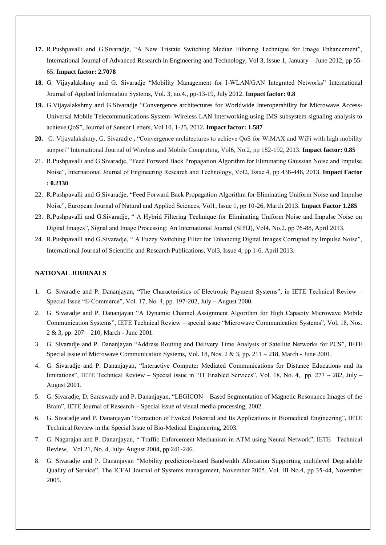- **17.** R.Pushpavalli and G.Sivaradje, "A New Tristate Switching Median Filtering Technique for Image Enhancement", International Journal of Advanced Research in Engineering and Technology, Vol 3, Issue 1, January – June 2012, pp 55- 65. **Impact factor: 2.7078**
- **18.** G. Vijayalakshmy and G. Sivaradje "Mobility Management for I-WLAN/GAN Integrated Networks" International Journal of Applied Information Systems, Vol. 3, no.4., pp-13-19, July 2012. **Impact factor: 0.8**
- **19.** G.Vijayalakshmy and G.Sivaradje "Convergence architectures for Worldwide Interoperability for Microwave Access-Universal Mobile Telecommunications System- Wireless LAN Interworking using IMS subsystem signaling analysis to achieve QoS", Journal of Sensor Letters, Vol 10, 1-25, 2012**. Impact factor: 1.587**
- **20.** G. Vijayalakshmy, G. Sivaradje **,** "Convergence architectures to achieve QoS for WiMAX and WiFi with high mobility support" International Journal of Wireless and Mobile Computing, Vol6, No.2, pp 182-192, 2013. **Impact factor: 0.85**
- 21. R.Pushpavalli and G.Sivaradje, "Feed Forward Back Propagation Algorithm for Eliminating Gaussian Noise and Impulse Noise", International Journal of Engineering Research and Technology, Vol2, Issue 4, pp 438-448, 2013. **Impact Factor : 0.2130**
- 22. R.Pushpavalli and G.Sivaradje, "Feed Forward Back Propagation Algorithm for Eliminating Uniform Noise and Impulse Noise", European Journal of Natural and Applied Sciences, Vol1, Issue 1, pp 10-26, March 2013. **Impact Factor 1.285**
- 23. R.Pushpavalli and G.Sivaradje, " A Hybrid Filtering Technique for Eliminating Uniform Noise and Impulse Noise on Digital Images", Signal and Image Processing: An International Journal (SIPIJ), Vol4, No.2, pp 76-88, April 2013.
- 24. R.Pushpavalli and G.Sivaradje, " A Fuzzy Switching Filter for Enhancing Digital Images Corrupted by Impulse Noise", International Journal of Scientific and Research Publications, Vol3, Issue 4, pp 1-6, April 2013.

#### **NATIONAL JOURNALS**

- 1. G. Sivaradje and P. Dananjayan, "The Characteristics of Electronic Payment Systems", in IETE Technical Review Special Issue "E-Commerce", Vol. 17, No. 4, pp. 197-202, July – August 2000.
- 2. G. Sivaradje and P. Dananjayan "A Dynamic Channel Assignment Algorithm for High Capacity Microwave Mobile Communication Systems", IETE Technical Review – special issue "Microwave Communication Systems", Vol. 18, Nos. 2 & 3, pp. 207 – 210, March - June 2001.
- 3. G. Sivaradje and P. Dananjayan "Address Routing and Delivery Time Analysis of Satellite Networks for PCS", IETE Special issue of Microwave Communication Systems, Vol. 18, Nos. 2 & 3, pp. 211 – 218, March - June 2001.
- 4. G. Sivaradje and P. Dananjayan, "Interactive Computer Mediated Communications for Distance Educations and its limitations", IETE Technical Review – Special issue in "IT Enabled Services", Vol. 18, No. 4, pp. 277 – 282, July – August 2001.
- 5. G. Sivaradje, D. Saraswady and P. Dananjayan, "LEGICON Based Segmentation of Magnetic Resonance Images of the Brain", IETE Journal of Research – Special issue of visual media processing, 2002.
- 6. G. Sivaradje and P. Dananjayan "Extraction of Evoked Potential and Its Applications in Biomedical Engineering", IETE Technical Review in the Special Issue of Bio-Medical Engineering, 2003.
- 7. G. Nagarajan and P. Dananjayan, " Traffic Enforcement Mechanism in ATM using Neural Network", IETE Technical Review, Vol 21, No. 4, July- August 2004, pp 241-246.
- 8. G. Sivaradje and P. Dananjayan "Mobility prediction-based Bandwidth Allocation Supporting multilevel Degradable Quality of Service", The ICFAI Journal of Systems management, November 2005, Vol. III No.4, pp 35-44, November 2005.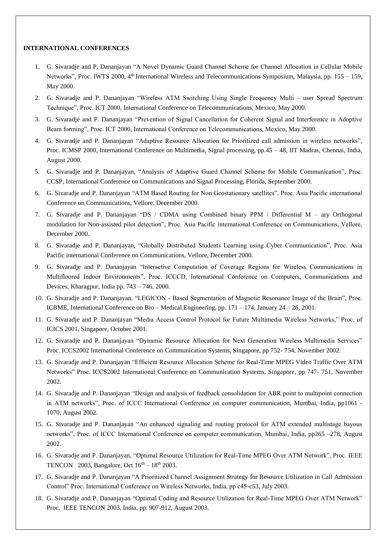#### **INTERNATIONAL CONFERENCES**

- 1. G. Sivaradje and P. Dananjayan "A Novel Dynamic Guard Channel Scheme for Channel Allocation in Cellular Mobile Networks", Proc. IWTS 2000, 4<sup>th</sup> International Wireless and Telecommunications Symposium, Malaysia, pp. 155 – 159, May 2000.
- 2. G. Sivaradje and P. Dananjayan "Wireless ATM Switching Using Single Frequency Multi user Spread Spectrum Technique", Proc. ICT 2000, International Conference on Telecommunications, Mexico, May 2000.
- 3. G. Sivaradje and P. Dananjayan "Prevention of Signal Cancellation for Coherent Signal and Interference in Adoptive Beam forming", Proc. ICT 2000, International Conference on Telecommunications, Mexico, May 2000.
- 4. G. Sivaradje and P. Dananjayan "Adaptive Resource Allocation for Prioritized call admission in wireless networks", Proc. ICMSP 2000, International Conference on Multimedia, Signal processing, pp.45 – 48, IIT Madras, Chennai, India, August 2000.
- 5. G. Sivaradje and P. Dananjayan, "Analysis of Adaptive Guard Channel Scheme for Mobile Communication", Proc. CCSP, International Conference on Communications and Signal Processing, Florida, September 2000.
- 6. G. Sivaradje and P. Dananjayan "ATM Based Routing for Non Geostationary satellites", Proc. Asia Pacific international Conference on Communications, Vellore, December 2000.
- 7. G. Sivaradje and P. Dananjayan "DS / CDMA using Combined binary PPM / Differential M ary Orthogonal modulation for Non-assisted pilot detection", Proc. Asia Pacific international Conference on Communications, Vellore, December 2000.
- 8. G. Sivaradje and P. Dananjayan, "Globally Distributed Students Learning using Cyber Communication", Proc. Asia Pacific international Conference on Communications, Vellore, December 2000.
- 9. G. Sivaradje and P. Dananjayan "Interactive Computation of Coverage Regions for Wireless Communications in Multifloored Indoor Environments", Proc. ICCCD, International Conference on Computers, Communications and Devices, Kharagpur, India pp. 743 – 746, 2000.
- 10. G. Sivaradje and P. Dananjayan, "LEGICON Based Segmentation of Magnetic Resonance Image of the Brain", Proc. ICBME, International Conference on Bio – Medical Engineering, pp. 171 – 174, January 24 – 26, 2001.
- 11. G. Sivaradje and P. Dananjayan "Media Access Control Protocol for Future Multimedia Wireless Networks," Proc. of ICICS 2001, Singapore, October 2001.
- 12. G. Sivaradje and P. Dananjayan "Dynamic Resource Allocation for Next Generation Wireless Multimedia Services" Proc. ICCS2002 International Conference on Communication Systems, Singapore, pp 752- 754, November 2002.
- 13. G. Sivaradje and P. Dananjayan "Efficient Resource Allocation Scheme for Real-Time MPEG Video Traffic Over ATM Networks" Proc. ICCS2002 International Conference on Communication Systems, Singapore, pp 747- 751, November 2002.
- 14. G. Sivaradje and P. Dananjayan "Design and analysis of feedback consolidation for ABR point to multipoint connection in ATM networks", Proc. of ICCC International Conference on computer communication, Mumbai, India, pp1061 - 1070, August 2002.
- 15. G. Sivaradje and P. Dananjayan "An enhanced signaling and routing protocol for ATM extended multistage bayous networks", Proc. of ICCC International Conference on computer communication, Mumbai, India, pp265 –278, August 2002.
- 16. G. Sivaradje and P. Dananjayan, "Optimal Resource Utilization for Real-Time MPEG Over ATM Network", Proc. IEEE TENCON 2003, Bangalore, Oct  $16<sup>th</sup> - 18<sup>th</sup>$  2003.
- 17. G. Sivaradje and P. Dananjayan "A Prioritized Channel Assignment Strategy for Resource Utilization in Call Admission Control" Proc. International Conference on Wireless Networks, India, pp c45-c53, July 2003.
- 18. G. Sivaradje and P. Dananjayan "Optimal Coding and Resource Utilization for Real-Time MPEG Over ATM Network" Proc. IEEE TENCON 2003, India, pp. 907-912, August 2003.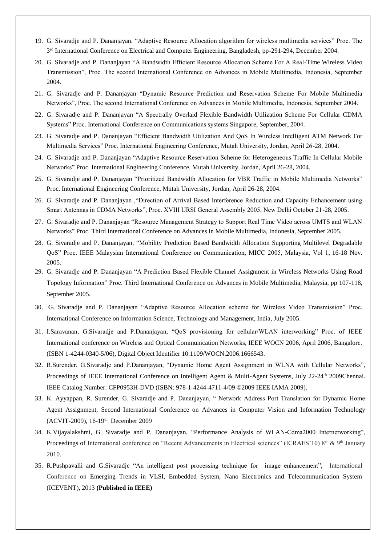- 19. G. Sivaradje and P. Dananjayan, "Adaptive Resource Allocation algorithm for wireless multimedia services" Proc. The 3<sup>rd</sup> International Conference on Electrical and Computer Engineering, Bangladesh, pp-291-294, December 2004.
- 20. G. Sivaradje and P. Dananjayan "A Bandwidth Efficient Resource Allocation Scheme For A Real-Time Wireless Video Transmission", Proc. The second International Conference on Advances in Mobile Multimedia, Indonesia, September 2004.
- 21. G. Sivaradje and P. Dananjayan "Dynamic Resource Prediction and Reservation Scheme For Mobile Multimedia Networks", Proc. The second International Conference on Advances in Mobile Multimedia, Indonesia, September 2004.
- 22. G. Sivaradje and P. Dananjayan "A Spectrally Overlaid Flexible Bandwidth Utilization Scheme For Cellular CDMA Systems" Proc. International Conference on Communications systems Singapore, September, 2004.
- 23. G. Sivaradje and P. Dananjayan "Efficient Bandwidth Utilization And QoS In Wireless Intelligent ATM Network For Multimedia Services" Proc. International Engineering Conference, Mutah University, Jordan, April 26-28, 2004.
- 24. G. Sivaradje and P. Dananjayan "Adaptive Resource Reservation Scheme for Heterogeneous Traffic In Cellular Mobile Networks" Proc. International Engineering Conference, Mutah University, Jordan, April 26-28, 2004.
- 25. G. Sivaradje and P. Dananjayan "Prioritized Bandwidth Allocation for VBR Traffic in Mobile Multimedia Networks" Proc. International Engineering Conference, Mutah University, Jordan, April 26-28, 2004.
- 26. G. Sivaradje and P. Dananjayan ,"Direction of Arrival Based Interference Reduction and Capacity Enhancement using Smart Antennas in CDMA Networks", Proc. XVIII URSI General Assembly 2005, New Delhi October 21-28, 2005.
- 27. G. Sivaradje and P. Dananjayan "Resource Management Strategy to Support Real Time Video across UMTS and WLAN Networks" Proc. Third International Conference on Advances in Mobile Multimedia, Indonesia, September 2005.
- 28. G. Sivaradje and P. Dananjayan, "Mobility Prediction Based Bandwidth Allocation Supporting Multilevel Degradable QoS" Proc. IEEE Malaysian International Conference on Communication, MICC 2005, Malaysia, Vol 1, 16-18 Nov. 2005.
- 29. G. Sivaradje and P. Dananjayan "A Prediction Based Flexible Channel Assignment in Wireless Networks Using Road Topology Information" Proc. Third International Conference on Advances in Mobile Multimedia, Malaysia, pp 107-118, September 2005.
- 30. G. Sivaradje and P. Dananjayan "Adaptive Resource Allocation scheme for Wireless Video Transmission" Proc. International Conference on Information Science, Technology and Management, India, July 2005.
- 31. I.Saravanan, G.Sivaradje and P.Dananjayan, "QoS provisioning for cellular/WLAN interworking" Proc. of IEEE International conference on Wireless and Optical Communication Networks, IEEE WOCN 2006, April 2006, Bangalore. (ISBN 1-4244-0340-5/06), Digital Object Identifier 10.1109/WOCN.2006.1666543.
- 32. R.Surender, G.Sivaradje and P.Dananjayan, "Dynamic Home Agent Assignment in WLNA with Cellular Networks", Proceedings of IEEE International Conference on Intelligent Agent & Multi-Agent Systems, July 22-24<sup>th</sup> 2009Chennai. IEEE Catalog Number: CFP0953H-DVD (ISBN: 978-1-4244-4711-4/09 ©2009 IEEE IAMA 2009).
- 33. K. Ayyappan, R. Surender, G. Sivaradje and P. Dananjayan, " Network Address Port Translation for Dynamic Home Agent Assignment, Second International Conference on Advances in Computer Vision and Information Technology (ACVIT-2009), 16-19<sup>th</sup> December 2009
- 34. K.Vijayalakshmi, G. Sivaradje and P. Dananjayan, "Performance Analysis of WLAN-Cdma2000 Internetworking", Proceedings of International conference on "Recent Advancements in Electrical sciences" (ICRAES'10)  $8<sup>th</sup>$  &  $9<sup>th</sup>$  January 2010.
- 35. R.Pushpavalli and G.Sivaradje "An intelligent post processing technique for image enhancement", International Conference on [Emerging Trends in VLSI, Embedded System, Nano Electronics and Telecommunication System](http://ieeexplore.ieee.org/xpl/mostRecentIssue.jsp?punumber=6490097)  [\(ICEVENT\), 2013](http://ieeexplore.ieee.org/xpl/mostRecentIssue.jsp?punumber=6490097) **(Published in IEEE)**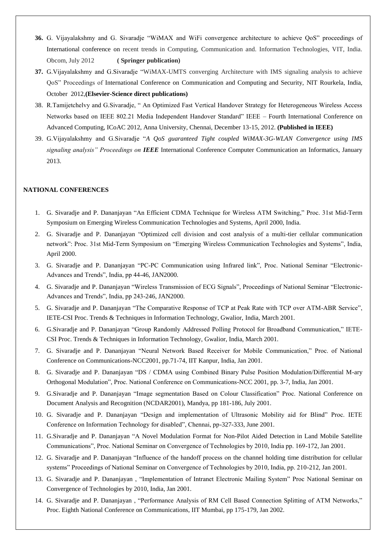- **36.** G. Vijayalakshmy and G. Sivaradje "WiMAX and WiFi convergence architecture to achieve QoS" proceedings of International conference on recent trends in Computing, Communication and. Information Technologies, VIT, India. Obcom, July 2012 **( Springer publication)**
- **37.** G.Vijayalakshmy and G.Sivaradje "WiMAX-UMTS converging Architecture with IMS signaling analysis to achieve QoS" Proceedings of International Conference on Communication and Computing and Security, NIT Rourkela, India, October 2012,**(Elsevier-Science direct publications)**
- 38. R.Tamijetchelvy and G.Sivaradje, " An Optimized Fast Vertical Handover Strategy for Heterogeneous Wireless Access Networks based on IEEE 802.21 Media Independent Handover Standard" IEEE – Fourth International Conference on Advanced Computing, ICoAC 2012, Anna University, Chennai, December 13-15, 2012. **(Published in IEEE)**
- 39. G.Vijayalakshmy and G.Sivaradje "*A QoS guaranteed Tight coupled WiMAX-3G-WLAN Convergence using IMS signaling analysis" Proceedings on IEEE* International Conference Computer Communication an Informatics, January 2013.

#### **NATIONAL CONFERENCES**

- 1. G. Sivaradje and P. Dananjayan "An Efficient CDMA Technique for Wireless ATM Switching," Proc. 31st Mid-Term Symposium on Emerging Wireless Communication Technologies and Systems, April 2000, India.
- 2. G. Sivaradje and P. Dananjayan "Optimized cell division and cost analysis of a multi-tier cellular communication network": Proc. 31st Mid-Term Symposium on "Emerging Wireless Communication Technologies and Systems", India, April 2000.
- 3. G. Sivaradje and P. Dananjayan "PC-PC Communication using Infrared link", Proc. National Seminar "Electronic-Advances and Trends", India, pp 44-46, JAN2000.
- 4. G. Sivaradje and P. Dananjayan "Wireless Transmission of ECG Signals", Proceedings of National Seminar "Electronic-Advances and Trends", India, pp 243-246, JAN2000.
- 5. G. Sivaradje and P. Dananjayan "The Comparative Response of TCP at Peak Rate with TCP over ATM-ABR Service", IETE-CSI Proc. Trends & Techniques in Information Technology, Gwalior, India, March 2001.
- 6. G.Sivaradje and P. Dananjayan "Group Randomly Addressed Polling Protocol for Broadband Communication," IETE-CSI Proc. Trends & Techniques in Information Technology, Gwalior, India, March 2001.
- 7. G. Sivaradje and P. Dananjayan "Neural Network Based Receiver for Mobile Communication," Proc. of National Conference on Communications-NCC2001, pp.71-74, IIT Kanpur, India, Jan 2001.
- 8. G. Sivaradje and P. Dananjayan "DS / CDMA using Combined Binary Pulse Position Modulation/Differential M-ary Orthogonal Modulation", Proc. National Conference on Communications-NCC 2001, pp. 3-7, India, Jan 2001.
- 9. G.Sivaradje and P. Dananjayan "Image segmentation Based on Colour Classification" Proc. National Conference on Document Analysis and Recognition (NCDAR2001), Mandya, pp 181-186, July 2001.
- 10. G. Sivaradje and P. Dananjayan "Design and implementation of Ultrasonic Mobility aid for Blind" Proc. IETE Conference on Information Technology for disabled", Chennai, pp-327-333, June 2001.
- 11. G.Sivaradje and P. Dananjayan "A Novel Modulation Format for Non-Pilot Aided Detection in Land Mobile Satellite Communications", Proc. National Seminar on Convergence of Technologies by 2010, India pp. 169-172, Jan 2001.
- 12. G. Sivaradje and P. Dananjayan "Influence of the handoff process on the channel holding time distribution for cellular systems" Proceedings of National Seminar on Convergence of Technologies by 2010, India, pp. 210-212, Jan 2001.
- 13. G. Sivaradje and P. Dananjayan , "Implementation of Intranet Electronic Mailing System" Proc National Seminar on Convergence of Technologies by 2010, India, Jan 2001.
- 14. G. Sivaradje and P. Dananjayan , "Performance Analysis of RM Cell Based Connection Splitting of ATM Networks," Proc. Eighth National Conference on Communications, IIT Mumbai, pp 175-179, Jan 2002.